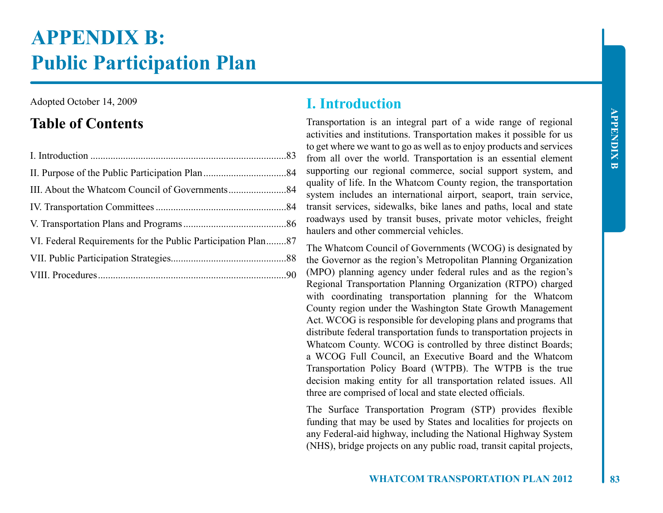# **APPENDIX B: Public Participation Plan**

Adopted October 14, 2009

# **Table of Contents**

# **I. Introduction**

Transportation is an integral part of a wide range of regional activities and institutions. Transportation makes it possible for us to get where we want to go as well as to enjoy products and services from all over the world. Transportation is an essential element supporting our regional commerce, social support system, and quality of life. In the Whatcom County region, the transportation system includes an international airport, seaport, train service, transit services, sidewalks, bike lanes and paths, local and state roadways used by transit buses, private motor vehicles, freight haulers and other commercial vehicles.

The Whatcom Council of Governments (WCOG) is designated by the Governor as the region's Metropolitan Planning Organization (MPO) planning agency under federal rules and as the region's Regional Transportation Planning Organization (RTPO) charged with coordinating transportation planning for the Whatcom County region under the Washington State Growth Management Act. WCOG is responsible for developing plans and programs that distribute federal transportation funds to transportation projects in Whatcom County. WCOG is controlled by three distinct Boards; a WCOG Full Council, an Executive Board and the Whatcom Transportation Policy Board (WTPB). The WTPB is the true decision making entity for all transportation related issues. All three are comprised of local and state elected officials.

The Surface Transportation Program (STP) provides flexible funding that may be used by States and localities for projects on any Federal-aid highway, including the National Highway System (NHS), bridge projects on any public road, transit capital projects,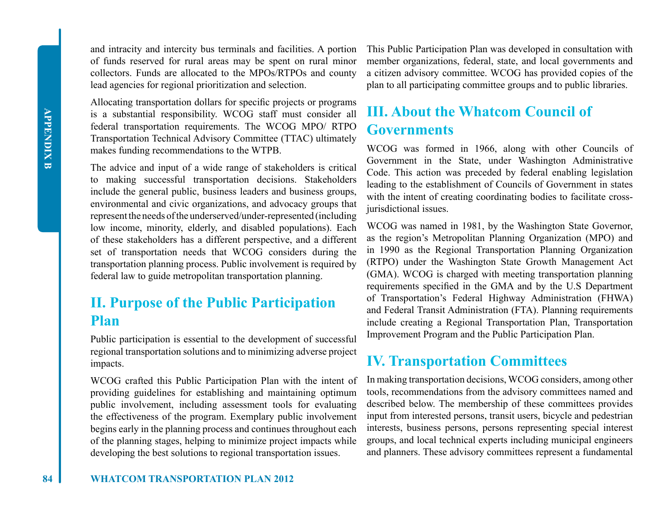and intracity and intercity bus terminals and facilities. A portion of funds reserved for rural areas may be spent on rural minor collectors. Funds are allocated to the MPOs/RTPOs and county lead agencies for regional prioritization and selection.

Allocating transportation dollars for specific projects or programs is a substantial responsibility. WCOG staff must consider all federal transportation requirements. The WCOG MPO/ RTPO Transportation Technical Advisory Committee (TTAC) ultimately makes funding recommendations to the WTPB.

The advice and input of a wide range of stakeholders is critical to making successful transportation decisions. Stakeholders include the general public, business leaders and business groups, environmental and civic organizations, and advocacy groups that represent the needs of the underserved/under-represented (including low income, minority, elderly, and disabled populations). Each of these stakeholders has a different perspective, and a different set of transportation needs that WCOG considers during the transportation planning process. Public involvement is required by federal law to guide metropolitan transportation planning.

# **II. Purpose of the Public Participation Plan**

Public participation is essential to the development of successful regional transportation solutions and to minimizing adverse project impacts.

WCOG crafted this Public Participation Plan with the intent of providing guidelines for establishing and maintaining optimum public involvement, including assessment tools for evaluating the effectiveness of the program. Exemplary public involvement begins early in the planning process and continues throughout each of the planning stages, helping to minimize project impacts while developing the best solutions to regional transportation issues.

This Public Participation Plan was developed in consultation with member organizations, federal, state, and local governments and a citizen advisory committee. WCOG has provided copies of the plan to all participating committee groups and to public libraries.

# **III. About the Whatcom Council of Governments**

WCOG was formed in 1966, along with other Councils of Government in the State, under Washington Administrative Code. This action was preceded by federal enabling legislation leading to the establishment of Councils of Government in states with the intent of creating coordinating bodies to facilitate crossjurisdictional issues.

WCOG was named in 1981, by the Washington State Governor, as the region's Metropolitan Planning Organization (MPO) and in 1990 as the Regional Transportation Planning Organization (RTPO) under the Washington State Growth Management Act (GMA). WCOG is charged with meeting transportation planning requirements specified in the GMA and by the U.S Department of Transportation's Federal Highway Administration (FHWA) and Federal Transit Administration (FTA). Planning requirements include creating a Regional Transportation Plan, Transportation Improvement Program and the Public Participation Plan.

# **IV. Transportation Committees**

In making transportation decisions, WCOG considers, among other tools, recommendations from the advisory committees named and described below. The membership of these committees provides input from interested persons, transit users, bicycle and pedestrian interests, business persons, persons representing special interest groups, and local technical experts including municipal engineers and planners. These advisory committees represent a fundamental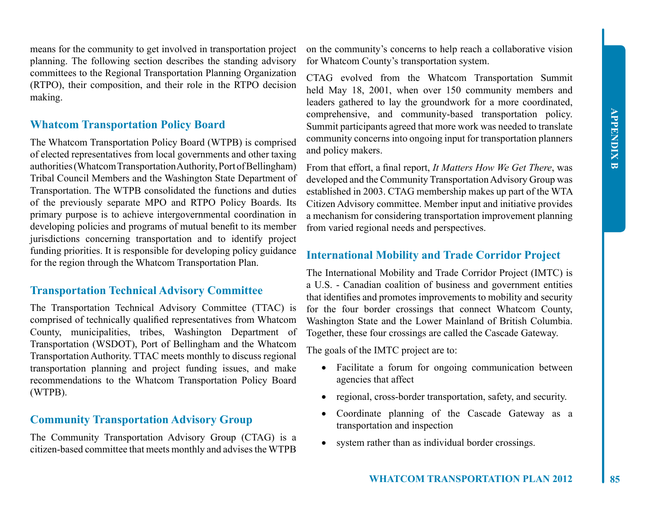means for the community to get involved in transportation project planning. The following section describes the standing advisory committees to the Regional Transportation Planning Organization (RTPO), their composition, and their role in the RTPO decision making.

### **Whatcom Transportation Policy Board**

The Whatcom Transportation Policy Board (WTPB) is comprised of elected representatives from local governments and other taxing authorities (Whatcom Transportation Authority, Port of Bellingham) Tribal Council Members and the Washington State Department of Transportation. The WTPB consolidated the functions and duties of the previously separate MPO and RTPO Policy Boards. Its primary purpose is to achieve intergovernmental coordination in developing policies and programs of mutual benefit to its member jurisdictions concerning transportation and to identify project funding priorities. It is responsible for developing policy guidance for the region through the Whatcom Transportation Plan.

### **Transportation Technical Advisory Committee**

The Transportation Technical Advisory Committee (TTAC) is comprised of technically qualified representatives from Whatcom County, municipalities, tribes, Washington Department of Transportation (WSDOT), Port of Bellingham and the Whatcom Transportation Authority. TTAC meets monthly to discuss regional transportation planning and project funding issues, and make recommendations to the Whatcom Transportation Policy Board (WTPB).

### **Community Transportation Advisory Group**

The Community Transportation Advisory Group (CTAG) is a citizen-based committee that meets monthly and advises the WTPB

on the community's concerns to help reach a collaborative vision for Whatcom County's transportation system.

CTAG evolved from the Whatcom Transportation Summit held May 18, 2001, when over 150 community members and leaders gathered to lay the groundwork for a more coordinated, comprehensive, and community-based transportation policy. Summit participants agreed that more work was needed to translate community concerns into ongoing input for transportation planners and policy makers.

From that effort, a final report, *It Matters How We Get There*, was developed and the Community Transportation Advisory Group was established in 2003. CTAG membership makes up part of the WTA Citizen Advisory committee. Member input and initiative provides a mechanism for considering transportation improvement planning from varied regional needs and perspectives.

#### **International Mobility and Trade Corridor Project**

The International Mobility and Trade Corridor Project (IMTC) is a U.S. - Canadian coalition of business and government entities that identifies and promotes improvements to mobility and security for the four border crossings that connect Whatcom County, Washington State and the Lower Mainland of British Columbia. Together, these four crossings are called the Cascade Gateway.

The goals of the IMTC project are to:

- Facilitate a forum for ongoing communication between agencies that affect
- regional, cross-border transportation, safety, and security.
- Coordinate planning of the Cascade Gateway as a transportation and inspection
- system rather than as individual border crossings.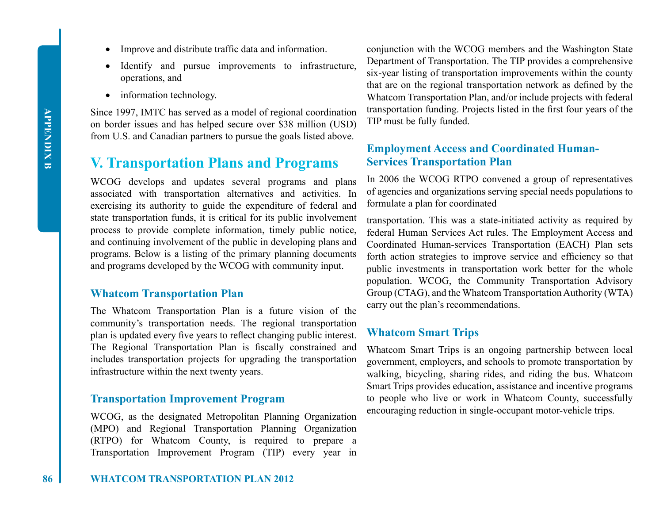- Improve and distribute traffic data and information.
- Identify and pursue improvements to infrastructure, operations, and
- information technology.

Since 1997, IMTC has served as a model of regional coordination on border issues and has helped secure over \$38 million (USD) from U.S. and Canadian partners to pursue the goals listed above.

# **V. Transportation Plans and Programs**

WCOG develops and updates several programs and plans associated with transportation alternatives and activities. In exercising its authority to guide the expenditure of federal and state transportation funds, it is critical for its public involvement process to provide complete information, timely public notice, and continuing involvement of the public in developing plans and programs. Below is a listing of the primary planning documents and programs developed by the WCOG with community input.

#### **Whatcom Transportation Plan**

The Whatcom Transportation Plan is a future vision of the community's transportation needs. The regional transportation plan is updated every five years to reflect changing public interest. The Regional Transportation Plan is fiscally constrained and includes transportation projects for upgrading the transportation infrastructure within the next twenty years.

#### **Transportation Improvement Program**

WCOG, as the designated Metropolitan Planning Organization (MPO) and Regional Transportation Planning Organization (RTPO) for Whatcom County, is required to prepare a Transportation Improvement Program (TIP) every year in

conjunction with the WCOG members and the Washington State Department of Transportation. The TIP provides a comprehensive six-year listing of transportation improvements within the county that are on the regional transportation network as defined by the Whatcom Transportation Plan, and/or include projects with federal transportation funding. Projects listed in the first four years of the TIP must be fully funded.

#### **Employment Access and Coordinated Human-Services Transportation Plan**

In 2006 the WCOG RTPO convened a group of representatives of agencies and organizations serving special needs populations to formulate a plan for coordinated

transportation. This was a state-initiated activity as required by federal Human Services Act rules. The Employment Access and Coordinated Human-services Transportation (EACH) Plan sets forth action strategies to improve service and efficiency so that public investments in transportation work better for the whole population. WCOG, the Community Transportation Advisory Group (CTAG), and the Whatcom Transportation Authority (WTA) carry out the plan's recommendations.

#### **Whatcom Smart Trips**

Whatcom Smart Trips is an ongoing partnership between local government, employers, and schools to promote transportation by walking, bicycling, sharing rides, and riding the bus. Whatcom Smart Trips provides education, assistance and incentive programs to people who live or work in Whatcom County, successfully encouraging reduction in single-occupant motor-vehicle trips.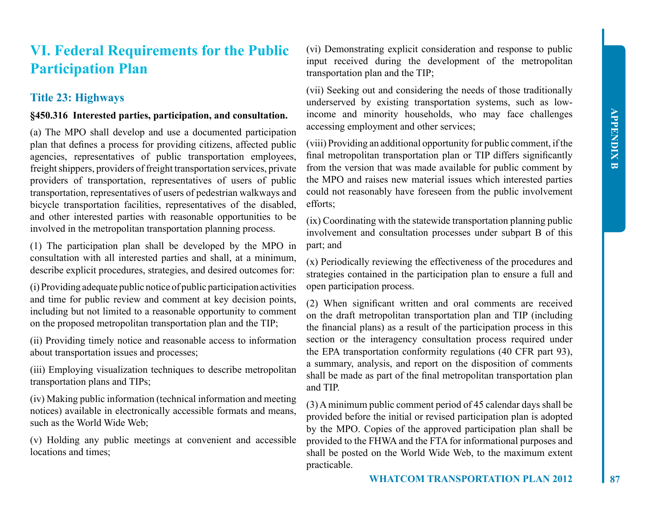# **VI. Federal Requirements for the Public Participation Plan**

### **Title 23: Highways**

#### **§450.316 Interested parties, participation, and consultation.**

(a) The MPO shall develop and use a documented participation plan that defines a process for providing citizens, affected public agencies, representatives of public transportation employees, freight shippers, providers of freight transportation services, private providers of transportation, representatives of users of public transportation, representatives of users of pedestrian walkways and bicycle transportation facilities, representatives of the disabled, and other interested parties with reasonable opportunities to be involved in the metropolitan transportation planning process.

(1) The participation plan shall be developed by the MPO in consultation with all interested parties and shall, at a minimum, describe explicit procedures, strategies, and desired outcomes for:

(i) Providing adequate public notice of public participation activities and time for public review and comment at key decision points, including but not limited to a reasonable opportunity to comment on the proposed metropolitan transportation plan and the TIP;

(ii) Providing timely notice and reasonable access to information about transportation issues and processes;

(iii) Employing visualization techniques to describe metropolitan transportation plans and TIPs;

(iv) Making public information (technical information and meeting notices) available in electronically accessible formats and means, such as the World Wide Web;

(v) Holding any public meetings at convenient and accessible locations and times;

(vi) Demonstrating explicit consideration and response to public input received during the development of the metropolitan transportation plan and the TIP;

(vii) Seeking out and considering the needs of those traditionally underserved by existing transportation systems, such as lowincome and minority households, who may face challenges accessing employment and other services;

(viii) Providing an additional opportunity for public comment, if the final metropolitan transportation plan or TIP differs significantly from the version that was made available for public comment by the MPO and raises new material issues which interested parties could not reasonably have foreseen from the public involvement efforts;

(ix) Coordinating with the statewide transportation planning public involvement and consultation processes under subpart B of this part; and

(x) Periodically reviewing the effectiveness of the procedures and strategies contained in the participation plan to ensure a full and open participation process.

(2) When significant written and oral comments are received on the draft metropolitan transportation plan and TIP (including the financial plans) as a result of the participation process in this section or the interagency consultation process required under the EPA transportation conformity regulations (40 CFR part 93), a summary, analysis, and report on the disposition of comments shall be made as part of the final metropolitan transportation plan and TIP.

(3) A minimum public comment period of 45 calendar days shall be provided before the initial or revised participation plan is adopted by the MPO. Copies of the approved participation plan shall be provided to the FHWA and the FTA for informational purposes and shall be posted on the World Wide Web, to the maximum extent practicable.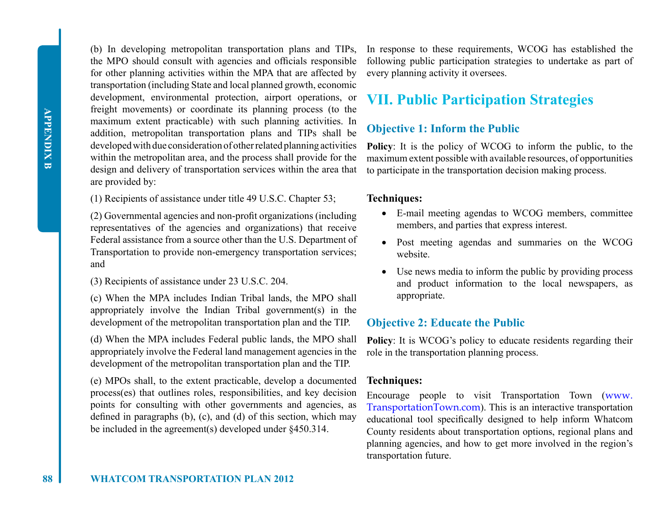**APPENDIX B APPENDIX B**

(b) In developing metropolitan transportation plans and TIPs, the MPO should consult with agencies and officials responsible for other planning activities within the MPA that are affected by transportation (including State and local planned growth, economic development, environmental protection, airport operations, or freight movements) or coordinate its planning process (to the maximum extent practicable) with such planning activities. In addition, metropolitan transportation plans and TIPs shall be developed with due consideration of other related planning activities within the metropolitan area, and the process shall provide for the design and delivery of transportation services within the area that are provided by:

(1) Recipients of assistance under title 49 U.S.C. Chapter 53;

(2) Governmental agencies and non-profit organizations (including representatives of the agencies and organizations) that receive Federal assistance from a source other than the U.S. Department of Transportation to provide non-emergency transportation services; and

(3) Recipients of assistance under 23 U.S.C. 204.

(c) When the MPA includes Indian Tribal lands, the MPO shall appropriately involve the Indian Tribal government(s) in the development of the metropolitan transportation plan and the TIP.

(d) When the MPA includes Federal public lands, the MPO shall appropriately involve the Federal land management agencies in the development of the metropolitan transportation plan and the TIP.

(e) MPOs shall, to the extent practicable, develop a documented process(es) that outlines roles, responsibilities, and key decision points for consulting with other governments and agencies, as defined in paragraphs (b), (c), and (d) of this section, which may be included in the agreement(s) developed under §450.314.

In response to these requirements, WCOG has established the following public participation strategies to undertake as part of every planning activity it oversees.

# **VII. Public Participation Strategies**

# **Objective 1: Inform the Public**

**Policy**: It is the policy of WCOG to inform the public, to the maximum extent possible with available resources, of opportunities to participate in the transportation decision making process.

#### **Techniques:**

- • E-mail meeting agendas to WCOG members, committee members, and parties that express interest.
- • Post meeting agendas and summaries on the WCOG website.
- Use news media to inform the public by providing process and product information to the local newspapers, as appropriate.

#### **Objective 2: Educate the Public**

**Policy**: It is WCOG's policy to educate residents regarding their role in the transportation planning process.

#### **Techniques:**

Encourage people to visit Transportation Town (www. TransportationTown.com). This is an interactive transportation educational tool specifically designed to help inform Whatcom County residents about transportation options, regional plans and planning agencies, and how to get more involved in the region's transportation future.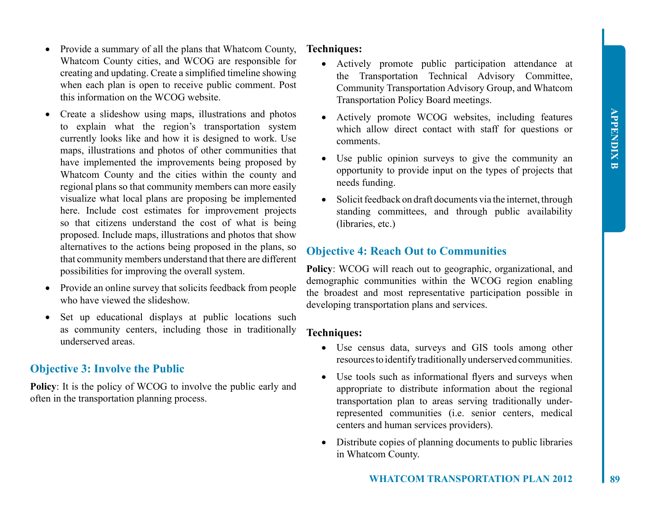- Provide a summary of all the plans that Whatcom County, Whatcom County cities, and WCOG are responsible for creating and updating. Create a simplified timeline showing when each plan is open to receive public comment. Post this information on the WCOG website.
- Create a slideshow using maps, illustrations and photos to explain what the region's transportation system currently looks like and how it is designed to work. Use maps, illustrations and photos of other communities that have implemented the improvements being proposed by Whatcom County and the cities within the county and regional plans so that community members can more easily visualize what local plans are proposing be implemented here. Include cost estimates for improvement projects so that citizens understand the cost of what is being proposed. Include maps, illustrations and photos that show alternatives to the actions being proposed in the plans, so that community members understand that there are different possibilities for improving the overall system.
- Provide an online survey that solicits feedback from people who have viewed the slideshow.
- Set up educational displays at public locations such as community centers, including those in traditionally underserved areas.

#### **Objective 3: Involve the Public**

**Policy**: It is the policy of WCOG to involve the public early and often in the transportation planning process.

#### **Techniques:**

- • Actively promote public participation attendance at the Transportation Technical Advisory Committee, Community Transportation Advisory Group, and Whatcom Transportation Policy Board meetings.
- Actively promote WCOG websites, including features which allow direct contact with staff for questions or comments.
- Use public opinion surveys to give the community an opportunity to provide input on the types of projects that needs funding.
- Solicit feedback on draft documents via the internet, through standing committees, and through public availability (libraries, etc.)

### **Objective 4: Reach Out to Communities**

**Policy**: WCOG will reach out to geographic, organizational, and demographic communities within the WCOG region enabling the broadest and most representative participation possible in developing transportation plans and services.

#### **Techniques:**

- • Use census data, surveys and GIS tools among other resources to identify traditionally underserved communities.
- Use tools such as informational flyers and surveys when appropriate to distribute information about the regional transportation plan to areas serving traditionally underrepresented communities (i.e. senior centers, medical centers and human services providers).
- Distribute copies of planning documents to public libraries in Whatcom County.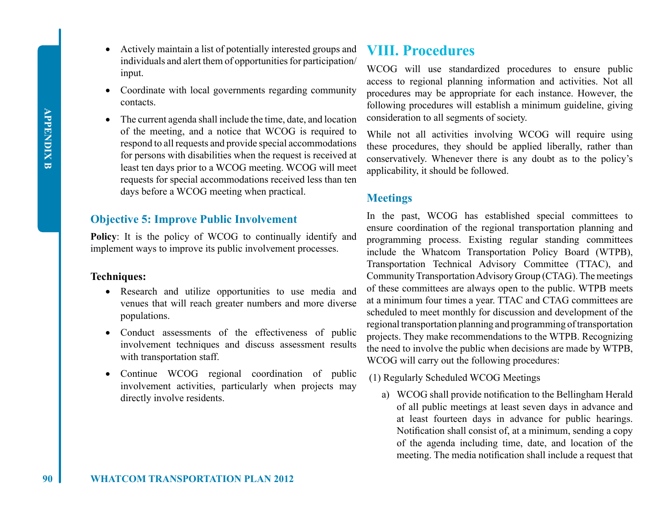- Actively maintain a list of potentially interested groups and individuals and alert them of opportunities for participation/ input.
- Coordinate with local governments regarding community contacts.
- The current agenda shall include the time, date, and location of the meeting, and a notice that WCOG is required to respond to all requests and provide special accommodations for persons with disabilities when the request is received at least ten days prior to a WCOG meeting. WCOG will meet requests for special accommodations received less than ten days before a WCOG meeting when practical.

### **Objective 5: Improve Public Involvement**

**Policy**: It is the policy of WCOG to continually identify and implement ways to improve its public involvement processes.

#### **Techniques:**

- Research and utilize opportunities to use media and venues that will reach greater numbers and more diverse populations.
- Conduct assessments of the effectiveness of public involvement techniques and discuss assessment results with transportation staff.
- Continue WCOG regional coordination of public involvement activities, particularly when projects may directly involve residents.

# **VIII. Procedures**

WCOG will use standardized procedures to ensure public access to regional planning information and activities. Not all procedures may be appropriate for each instance. However, the following procedures will establish a minimum guideline, giving consideration to all segments of society.

While not all activities involving WCOG will require using these procedures, they should be applied liberally, rather than conservatively. Whenever there is any doubt as to the policy's applicability, it should be followed.

### **Meetings**

In the past, WCOG has established special committees to ensure coordination of the regional transportation planning and programming process. Existing regular standing committees include the Whatcom Transportation Policy Board (WTPB), Transportation Technical Advisory Committee (TTAC), and Community Transportation Advisory Group (CTAG). The meetings of these committees are always open to the public. WTPB meets at a minimum four times a year. TTAC and CTAG committees are scheduled to meet monthly for discussion and development of the regional transportation planning and programming of transportation projects. They make recommendations to the WTPB. Recognizing the need to involve the public when decisions are made by WTPB, WCOG will carry out the following procedures:

- (1) Regularly Scheduled WCOG Meetings
	- a) WCOG shall provide notification to the Bellingham Herald of all public meetings at least seven days in advance and at least fourteen days in advance for public hearings. Notification shall consist of, at a minimum, sending a copy of the agenda including time, date, and location of the meeting. The media notification shall include a request that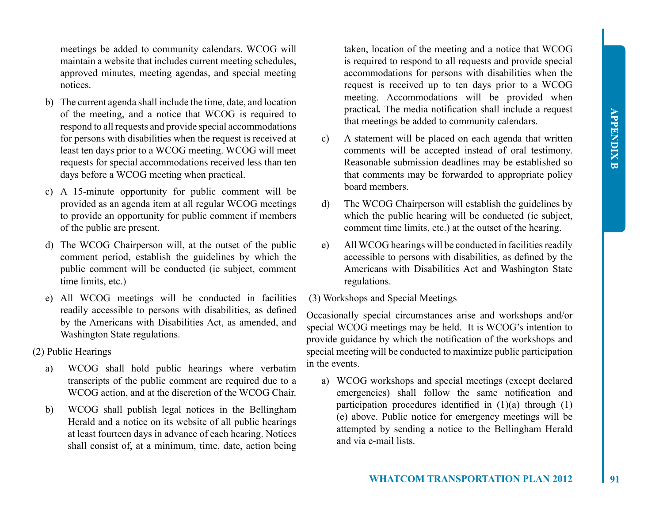meetings be added to community calendars. WCOG will maintain a website that includes current meeting schedules, approved minutes, meeting agendas, and special meeting notices.

- b) The current agenda shall include the time, date, and location of the meeting, and a notice that WCOG is required to respond to all requests and provide special accommodations for persons with disabilities when the request is received at least ten days prior to a WCOG meeting. WCOG will meet requests for special accommodations received less than ten days before a WCOG meeting when practical.
- c) A 15-minute opportunity for public comment will be provided as an agenda item at all regular WCOG meetings to provide an opportunity for public comment if members of the public are present.
- d) The WCOG Chairperson will, at the outset of the public comment period, establish the guidelines by which the public comment will be conducted (ie subject, comment time limits, etc.)
- e) All WCOG meetings will be conducted in facilities readily accessible to persons with disabilities, as defined by the Americans with Disabilities Act, as amended, and Washington State regulations.
- (2) Public Hearings
	- a) WCOG shall hold public hearings where verbatim transcripts of the public comment are required due to a WCOG action, and at the discretion of the WCOG Chair.
	- b) WCOG shall publish legal notices in the Bellingham Herald and a notice on its website of all public hearings at least fourteen days in advance of each hearing. Notices shall consist of, at a minimum, time, date, action being

taken, location of the meeting and a notice that WCOG is required to respond to all requests and provide special accommodations for persons with disabilities when the request is received up to ten days prior to a WCOG meeting. Accommodations will be provided when practical*.* The media notification shall include a request that meetings be added to community calendars.

- c) A statement will be placed on each agenda that written comments will be accepted instead of oral testimony. Reasonable submission deadlines may be established so that comments may be forwarded to appropriate policy board members.
- d) The WCOG Chairperson will establish the guidelines by which the public hearing will be conducted (ie subject, comment time limits, etc.) at the outset of the hearing.
- e) All WCOG hearings will be conducted in facilities readily accessible to persons with disabilities, as defined by the Americans with Disabilities Act and Washington State regulations.
- (3) Workshops and Special Meetings

Occasionally special circumstances arise and workshops and/or special WCOG meetings may be held. It is WCOG's intention to provide guidance by which the notification of the workshops and special meeting will be conducted to maximize public participation in the events.

a) WCOG workshops and special meetings (except declared emergencies) shall follow the same notification and participation procedures identified in  $(1)(a)$  through  $(1)$ (e) above. Public notice for emergency meetings will be attempted by sending a notice to the Bellingham Herald and via e-mail lists.